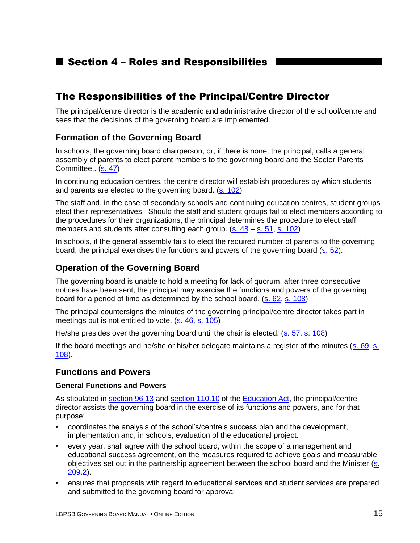## ■ Section 4 – Roles and Responsibilities

## The Responsibilities of the Principal/Centre Director

The principal/centre director is the academic and administrative director of the school/centre and sees that the decisions of the governing board are implemented.

#### **Formation of the Governing Board**

In schools, the governing board chairperson, or, if there is none, the principal, calls a general assembly of parents to elect parent members to the governing board and the Sector Parents' Committee,. [\(s. 47\)](http://www2.publicationsduquebec.gouv.qc.ca/dynamicSearch/telecharge.php?type=2&file=/I_13_3/I13_3_A.html#s47)

In continuing education centres, the centre director will establish procedures by which students and parents are elected to the governing board. [\(s. 102\)](http://www2.publicationsduquebec.gouv.qc.ca/dynamicSearch/telecharge.php?type=2&file=/I_13_3/I13_3_A.html#s102)

The staff and, in the case of secondary schools and continuing education centres, student groups elect their representatives. Should the staff and student groups fail to elect members according to the procedures for their organizations, the principal determines the procedure to elect staff members and students after consulting each group.  $(s. 48 - s. 51, s. 102)$  $(s. 48 - s. 51, s. 102)$  $(s. 48 - s. 51, s. 102)$  $(s. 48 - s. 51, s. 102)$ 

In schools, if the general assembly fails to elect the required number of parents to the governing board, the principal exercises the functions and powers of the governing board [\(s. 52\)](http://www2.publicationsduquebec.gouv.qc.ca/dynamicSearch/telecharge.php?type=2&file=/I_13_3/I13_3_A.html#s52).

### **Operation of the Governing Board**

The governing board is unable to hold a meeting for lack of quorum, after three consecutive notices have been sent, the principal may exercise the functions and powers of the governing board for a period of time as determined by the school board. [\(s. 62,](http://www2.publicationsduquebec.gouv.qc.ca/dynamicSearch/telecharge.php?type=2&file=/I_13_3/I13_3_A.html#s62) [s. 108\)](http://www2.publicationsduquebec.gouv.qc.ca/dynamicSearch/telecharge.php?type=2&file=/I_13_3/I13_3_A.html#s108)

The principal countersigns the minutes of the governing principal/centre director takes part in meetings but is not entitled to vote. [\(s. 46,](http://www2.publicationsduquebec.gouv.qc.ca/dynamicSearch/telecharge.php?type=2&file=/I_13_3/I13_3_A.html#s46) [s. 105\)](http://www2.publicationsduquebec.gouv.qc.ca/dynamicSearch/telecharge.php?type=2&file=/I_13_3/I13_3_A.html#s105)

He/she presides over the governing board until the chair is elected. [\(s. 57,](http://www2.publicationsduquebec.gouv.qc.ca/dynamicSearch/telecharge.php?type=2&file=/I_13_3/I13_3_A.html#s57) [s. 108\)](http://www2.publicationsduquebec.gouv.qc.ca/dynamicSearch/telecharge.php?type=2&file=/I_13_3/I13_3_A.html#s108)

If the board meetings and he/she or his/her delegate maintains a register of the minutes [\(s. 69,](http://www2.publicationsduquebec.gouv.qc.ca/dynamicSearch/telecharge.php?type=2&file=/I_13_3/I13_3_A.html#s69) s. [108\)](http://www2.publicationsduquebec.gouv.qc.ca/dynamicSearch/telecharge.php?type=2&file=/I_13_3/I13_3_A.html#s108).

#### **Functions and Powers**

#### **General Functions and Powers**

As stipulated in [section 96.13](http://www2.publicationsduquebec.gouv.qc.ca/dynamicSearch/telecharge.php?type=2&file=/I_13_3/I13_3_A.html#s96.13) and [section 110.10](http://www2.publicationsduquebec.gouv.qc.ca/dynamicSearch/telecharge.php?type=2&file=/I_13_3/I13_3_A.html#s110.10) of the [Education Act,](http://www2.publicationsduquebec.gouv.qc.ca/dynamicSearch/telecharge.php?type=2&file=/I_13_3/I13_3_A.html) the principal/centre director assists the governing board in the exercise of its functions and powers, and for that purpose:

- coordinates the analysis of the school's/centre's success plan and the development, implementation and, in schools, evaluation of the educational project.
- every year, shall agree with the school board, within the scope of a management and educational success agreement, on the measures required to achieve goals and measurable objectives set out in the partnership agreement between the school board and the Minister [\(s.](http://www2.publicationsduquebec.gouv.qc.ca/dynamicSearch/telecharge.php?type=2&file=/I_13_3/I13_3_A.html#s209.2)  [209.2\)](http://www2.publicationsduquebec.gouv.qc.ca/dynamicSearch/telecharge.php?type=2&file=/I_13_3/I13_3_A.html#s209.2).
- ensures that proposals with regard to educational services and student services are prepared and submitted to the governing board for approval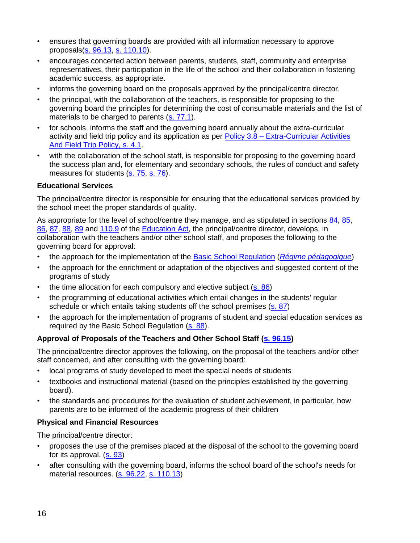- ensures that governing boards are provided with all information necessary to approve proposals[\(s. 96.13,](http://www2.publicationsduquebec.gouv.qc.ca/dynamicSearch/telecharge.php?type=2&file=/I_13_3/I13_3_A.html#s96.13) [s. 110.10\)](http://www2.publicationsduquebec.gouv.qc.ca/dynamicSearch/telecharge.php?type=2&file=/I_13_3/I13_3_A.html#s110.10).
- encourages concerted action between parents, students, staff, community and enterprise representatives, their participation in the life of the school and their collaboration in fostering academic success, as appropriate.
- informs the governing board on the proposals approved by the principal/centre director.
- the principal, with the collaboration of the teachers, is responsible for proposing to the governing board the principles for determining the cost of consumable materials and the list of materials to be charged to parents [\(s. 77.1\)](http://www2.publicationsduquebec.gouv.qc.ca/dynamicSearch/telecharge.php?type=2&file=/I_13_3/I13_3_A.html#s77.1).
- for schools, informs the staff and the governing board annually about the extra-curricular activity and field trip policy and its application as per Policy 3.8 – [Extra-Curricular Activities](http://www.lbpsb.qc.ca/content/policies/Extra_Curricular_and_FieldTrip_Policy_Eng_Jun29_09.pdf)  [And Field Trip](http://www.lbpsb.qc.ca/content/policies/Extra_Curricular_and_FieldTrip_Policy_Eng_Jun29_09.pdf) Policy, s. 4.1.
- with the collaboration of the school staff, is responsible for proposing to the governing board the success plan and, for elementary and secondary schools, the rules of conduct and safety measures for students [\(s. 75,](http://www2.publicationsduquebec.gouv.qc.ca/dynamicSearch/telecharge.php?type=2&file=/I_13_3/I13_3_A.html#s75) s. [76\)](http://www2.publicationsduquebec.gouv.qc.ca/dynamicSearch/telecharge.php?type=2&file=/I_13_3/I13_3_A.html#s76).

#### **Educational Services**

The principal/centre director is responsible for ensuring that the educational services provided by the school meet the proper standards of quality.

As appropriate for the level of school/centre they manage, and as stipulated in sections [84,](http://www2.publicationsduquebec.gouv.qc.ca/dynamicSearch/telecharge.php?type=2&file=/I_13_3/I13_3_A.html#s84) [85,](http://www2.publicationsduquebec.gouv.qc.ca/dynamicSearch/telecharge.php?type=2&file=/I_13_3/I13_3_A.html#s85) [86,](http://www2.publicationsduquebec.gouv.qc.ca/dynamicSearch/telecharge.php?type=2&file=/I_13_3/I13_3_A.html#s86) [87,](http://www2.publicationsduquebec.gouv.qc.ca/dynamicSearch/telecharge.php?type=2&file=/I_13_3/I13_3_A.html#s87) [88,](http://www2.publicationsduquebec.gouv.qc.ca/dynamicSearch/telecharge.php?type=2&file=/I_13_3/I13_3_A.html#s88) [89](http://www2.publicationsduquebec.gouv.qc.ca/dynamicSearch/telecharge.php?type=2&file=/I_13_3/I13_3_A.html#s89) and [110.9](http://www2.publicationsduquebec.gouv.qc.ca/dynamicSearch/telecharge.php?type=2&file=/I_13_3/I13_3_A.html#s110.9) of the [Education Act,](http://www2.publicationsduquebec.gouv.qc.ca/dynamicSearch/telecharge.php?type=2&file=/I_13_3/I13_3_A.html) the principal/centre director, develops, in collaboration with the teachers and/or other school staff, and proposes the following to the governing board for approval:

- the approach for the implementation of the [Basic School Regulation](http://www2.publicationsduquebec.gouv.qc.ca/dynamicSearch/telecharge.php?type=3&file=/I_13_3/I13_3R8_A.HTM) (*[Régime pédagogique](http://www2.publicationsduquebec.gouv.qc.ca/dynamicSearch/telecharge.php?type=3&file=/I_13_3/I13_3R8.HTM)*)
- the approach for the enrichment or adaptation of the objectives and suggested content of the programs of study
- the time allocation for each compulsory and elective subject [\(s. 86\)](http://www2.publicationsduquebec.gouv.qc.ca/dynamicSearch/telecharge.php?type=2&file=/I_13_3/I13_3_A.html)
- the programming of educational activities which entail changes in the students' regular schedule or which entails taking students off the school premises [\(s. 87\)](http://www2.publicationsduquebec.gouv.qc.ca/dynamicSearch/telecharge.php?type=2&file=/I_13_3/I13_3_A.html#s87)
- the approach for the implementation of programs of student and special education services as required by the Basic School Regulation [\(s. 88\)](http://www2.publicationsduquebec.gouv.qc.ca/dynamicSearch/telecharge.php?type=2&file=/I_13_3/I13_3_A.html#s88).

#### **Approval of Proposals of the Teachers and Other School Staff [\(s. 96.15\)](http://www2.publicationsduquebec.gouv.qc.ca/dynamicSearch/telecharge.php?type=2&file=/I_13_3/I13_3_A.html#s96.15)**

The principal/centre director approves the following, on the proposal of the teachers and/or other staff concerned, and after consulting with the governing board:

- local programs of study developed to meet the special needs of students
- textbooks and instructional material (based on the principles established by the governing board).
- the standards and procedures for the evaluation of student achievement, in particular, how parents are to be informed of the academic progress of their children

#### **Physical and Financial Resources**

The principal/centre director:

- proposes the use of the premises placed at the disposal of the school to the governing board for its approval. [\(s. 93\)](http://www2.publicationsduquebec.gouv.qc.ca/dynamicSearch/telecharge.php?type=2&file=/I_13_3/I13_3_A.html#s93)
- after consulting with the governing board, informs the school board of the school's needs for material resources. [\(s. 96.22,](http://www2.publicationsduquebec.gouv.qc.ca/dynamicSearch/telecharge.php?type=2&file=/I_13_3/I13_3_A.html#s96.22) [s. 110.13\)](http://www2.publicationsduquebec.gouv.qc.ca/dynamicSearch/telecharge.php?type=2&file=/I_13_3/I13_3_A.html#s110.13)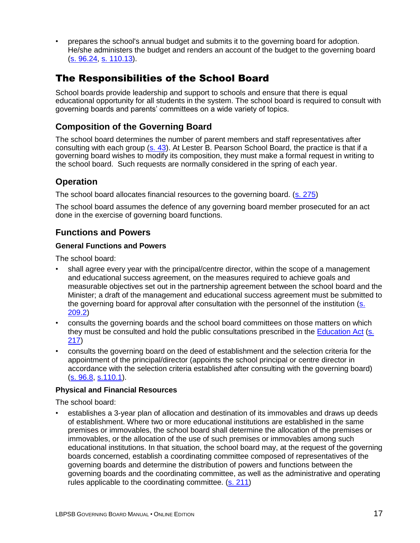• prepares the school's annual budget and submits it to the governing board for adoption. He/she administers the budget and renders an account of the budget to the governing board [\(s. 96.24,](http://www2.publicationsduquebec.gouv.qc.ca/dynamicSearch/telecharge.php?type=2&file=/I_13_3/I13_3_A.html#s96.24) [s. 110.13\)](http://www2.publicationsduquebec.gouv.qc.ca/dynamicSearch/telecharge.php?type=2&file=/I_13_3/I13_3_A.html#s110.13).

# The Responsibilities of the School Board

School boards provide leadership and support to schools and ensure that there is equal educational opportunity for all students in the system. The school board is required to consult with governing boards and parents' committees on a wide variety of topics.

### **Composition of the Governing Board**

The school board determines the number of parent members and staff representatives after consulting with each group [\(s. 43\)](http://www2.publicationsduquebec.gouv.qc.ca/dynamicSearch/telecharge.php?type=2&file=/I_13_3/I13_3_A.html#s43). At Lester B. Pearson School Board, the practice is that if a governing board wishes to modify its composition, they must make a formal request in writing to the school board. Such requests are normally considered in the spring of each year.

### **Operation**

The school board allocates financial resources to the governing board. [\(s. 275\)](http://www2.publicationsduquebec.gouv.qc.ca/dynamicSearch/telecharge.php?type=2&file=/I_13_3/I13_3_A.html#s275)

The school board assumes the defence of any governing board member prosecuted for an act done in the exercise of governing board functions.

### **Functions and Powers**

#### **General Functions and Powers**

The school board:

- shall agree every year with the principal/centre director, within the scope of a management and educational success agreement, on the measures required to achieve goals and measurable objectives set out in the partnership agreement between the school board and the Minister; a draft of the management and educational success agreement must be submitted to the governing board for approval after consultation with the personnel of the institution [\(s.](http://www2.publicationsduquebec.gouv.qc.ca/dynamicSearch/telecharge.php?type=2&file=/I_13_3/I13_3_A.html#s209.2)  [209.2\)](http://www2.publicationsduquebec.gouv.qc.ca/dynamicSearch/telecharge.php?type=2&file=/I_13_3/I13_3_A.html#s209.2)
- consults the governing boards and the school board committees on those matters on which they must be consulted and hold the public consultations prescribed in the **Education Act (s.** [217\)](http://www2.publicationsduquebec.gouv.qc.ca/dynamicSearch/telecharge.php?type=2&file=/I_13_3/I13_3_A.html#s217)
- consults the governing board on the deed of establishment and the selection criteria for the appointment of the principal/director (appoints the school principal or centre director in accordance with the selection criteria established after consulting with the governing board) [\(s. 96.8,](http://www2.publicationsduquebec.gouv.qc.ca/dynamicSearch/telecharge.php?type=2&file=/I_13_3/I13_3_A.html#s96.8) [s.110.1\)](http://www2.publicationsduquebec.gouv.qc.ca/dynamicSearch/telecharge.php?type=2&file=/I_13_3/I13_3_A.html#s110.1).

#### **Physical and Financial Resources**

The school board:

• establishes a 3-year plan of allocation and destination of its immovables and draws up deeds of establishment. Where two or more educational institutions are established in the same premises or immovables, the school board shall determine the allocation of the premises or immovables, or the allocation of the use of such premises or immovables among such educational institutions. In that situation, the school board may, at the request of the governing boards concerned, establish a coordinating committee composed of representatives of the governing boards and determine the distribution of powers and functions between the governing boards and the coordinating committee, as well as the administrative and operating rules applicable to the coordinating committee. [\(s. 211\)](http://www2.publicationsduquebec.gouv.qc.ca/dynamicSearch/telecharge.php?type=2&file=/I_13_3/I13_3_A.html#s211)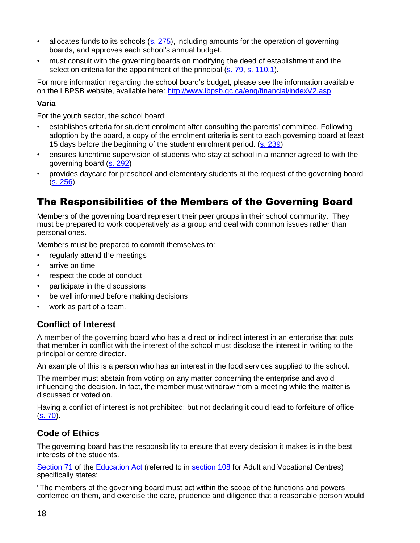- allocates funds to its schools [\(s. 275\)](http://www2.publicationsduquebec.gouv.qc.ca/dynamicSearch/telecharge.php?type=2&file=/I_13_3/I13_3_A.html#s275), including amounts for the operation of governing boards, and approves each school's annual budget.
- must consult with the governing boards on modifying the deed of establishment and the selection criteria for the appointment of the principal [\(s. 79,](http://www2.publicationsduquebec.gouv.qc.ca/dynamicSearch/telecharge.php?type=2&file=/I_13_3/I13_3_A.html#s79) [s. 110.1\)](http://www2.publicationsduquebec.gouv.qc.ca/dynamicSearch/telecharge.php?type=2&file=/I_13_3/I13_3_A.html#s110.1).

For more information regarding the school board's budget, please see the information available on the LBPSB website, available here:<http://www.lbpsb.qc.ca/eng/financial/indexV2.asp>

#### **Varia**

For the youth sector, the school board:

- establishes criteria for student enrolment after consulting the parents' committee. Following adoption by the board, a copy of the enrolment criteria is sent to each governing board at least 15 days before the beginning of the student enrolment period. [\(s. 239\)](http://www2.publicationsduquebec.gouv.qc.ca/dynamicSearch/telecharge.php?type=2&file=/I_13_3/I13_3_A.html#s239)
- ensures lunchtime supervision of students who stay at school in a manner agreed to with the governing board [\(s. 292\)](http://www2.publicationsduquebec.gouv.qc.ca/dynamicSearch/telecharge.php?type=2&file=/I_13_3/I13_3_A.html#s292)
- provides daycare for preschool and elementary students at the request of the governing board [\(s. 256\)](http://www2.publicationsduquebec.gouv.qc.ca/dynamicSearch/telecharge.php?type=2&file=/I_13_3/I13_3_A.html#s256).

# The Responsibilities of the Members of the Governing Board

Members of the governing board represent their peer groups in their school community. They must be prepared to work cooperatively as a group and deal with common issues rather than personal ones.

Members must be prepared to commit themselves to:

- regularly attend the meetings
- arrive on time
- respect the code of conduct
- participate in the discussions
- be well informed before making decisions
- work as part of a team.

### **Conflict of Interest**

A member of the governing board who has a direct or indirect interest in an enterprise that puts that member in conflict with the interest of the school must disclose the interest in writing to the principal or centre director.

An example of this is a person who has an interest in the food services supplied to the school.

The member must abstain from voting on any matter concerning the enterprise and avoid influencing the decision. In fact, the member must withdraw from a meeting while the matter is discussed or voted on.

Having a conflict of interest is not prohibited; but not declaring it could lead to forfeiture of office [\(s. 70\)](http://www2.publicationsduquebec.gouv.qc.ca/dynamicSearch/telecharge.php?type=2&file=/I_13_3/I13_3_A.html#s70).

### **Code of Ethics**

The governing board has the responsibility to ensure that every decision it makes is in the best interests of the students.

[Section 71](http://www2.publicationsduquebec.gouv.qc.ca/dynamicSearch/telecharge.php?type=2&file=/I_13_3/I13_3_A.html#s71) of the [Education Act](http://www2.publicationsduquebec.gouv.qc.ca/dynamicSearch/telecharge.php?type=2&file=/I_13_3/I13_3_A.html) (referred to in [section 108](http://www2.publicationsduquebec.gouv.qc.ca/dynamicSearch/telecharge.php?type=2&file=/I_13_3/I13_3_A.html#s108) for Adult and Vocational Centres) specifically states:

"The members of the governing board must act within the scope of the functions and powers conferred on them, and exercise the care, prudence and diligence that a reasonable person would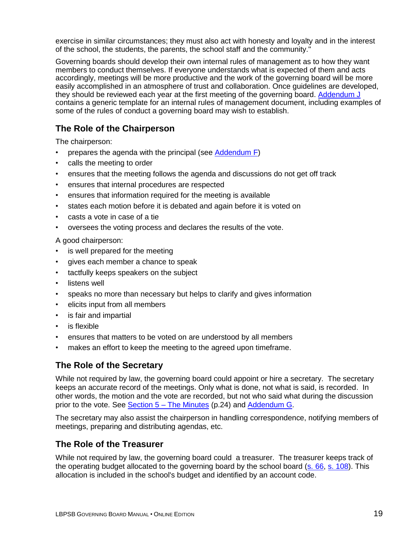exercise in similar circumstances; they must also act with honesty and loyalty and in the interest of the school, the students, the parents, the school staff and the community."

Governing boards should develop their own internal rules of management as to how they want members to conduct themselves. If everyone understands what is expected of them and acts accordingly, meetings will be more productive and the work of the governing board will be more easily accomplished in an atmosphere of trust and collaboration. Once guidelines are developed, they should be reviewed each year at the first meeting of the governing board. Addendum J contains a generic template for an internal rules of management document, including examples of some of the rules of conduct a governing board may wish to establish.

## **The Role of the Chairperson**

The chairperson:

- prepares the agenda with the principal (see Addendum F)
- calls the meeting to order
- ensures that the meeting follows the agenda and discussions do not get off track
- ensures that internal procedures are respected
- ensures that information required for the meeting is available
- states each motion before it is debated and again before it is voted on
- casts a vote in case of a tie
- oversees the voting process and declares the results of the vote.

A good chairperson:

- is well prepared for the meeting
- gives each member a chance to speak
- tactfully keeps speakers on the subject
- listens well
- speaks no more than necessary but helps to clarify and gives information
- elicits input from all members
- is fair and impartial
- is flexible
- ensures that matters to be voted on are understood by all members
- makes an effort to keep the meeting to the agreed upon timeframe.

### **The Role of the Secretary**

While not required by law, the governing board could appoint or hire a secretary. The secretary keeps an accurate record of the meetings. Only what is done, not what is said, is recorded. In other words, the motion and the vote are recorded, but not who said what during the discussion prior to the vote. See Section 5 – The Minutes (p.24) and Addendum G.

The secretary may also assist the chairperson in handling correspondence, notifying members of meetings, preparing and distributing agendas, etc.

### **The Role of the Treasurer**

While not required by law, the governing board could a treasurer. The treasurer keeps track of the operating budget allocated to the governing board by the school board [\(s. 66,](http://www2.publicationsduquebec.gouv.qc.ca/dynamicSearch/telecharge.php?type=2&file=/I_13_3/I13_3_A.html#s66) [s. 108\)](http://www2.publicationsduquebec.gouv.qc.ca/dynamicSearch/telecharge.php?type=2&file=/I_13_3/I13_3_A.html#s108). This allocation is included in the school's budget and identified by an account code.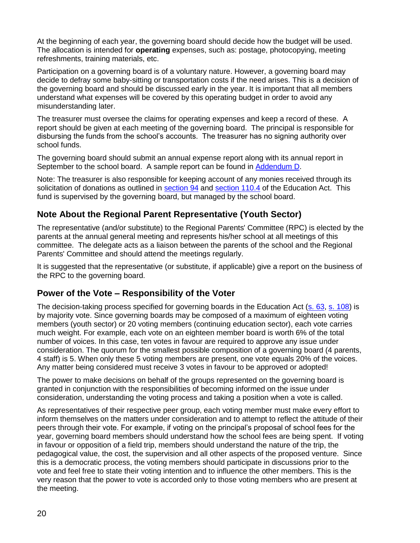At the beginning of each year, the governing board should decide how the budget will be used. The allocation is intended for **operating** expenses, such as: postage, photocopying, meeting refreshments, training materials, etc.

Participation on a governing board is of a voluntary nature. However, a governing board may decide to defray some baby-sitting or transportation costs if the need arises. This is a decision of the governing board and should be discussed early in the year. It is important that all members understand what expenses will be covered by this operating budget in order to avoid any misunderstanding later.

The treasurer must oversee the claims for operating expenses and keep a record of these. A report should be given at each meeting of the governing board. The principal is responsible for disbursing the funds from the school's accounts. The treasurer has no signing authority over school funds.

The governing board should submit an annual expense report along with its annual report in September to the school board. A sample report can be found in Addendum D.

Note: The treasurer is also responsible for keeping account of any monies received through its solicitation of donations as outlined in **section 94** and **section 110.4** of the Education Act. This fund is supervised by the governing board, but managed by the school board.

### **Note About the Regional Parent Representative (Youth Sector)**

The representative (and/or substitute) to the Regional Parents' Committee (RPC) is elected by the parents at the annual general meeting and represents his/her school at all meetings of this committee. The delegate acts as a liaison between the parents of the school and the Regional Parents' Committee and should attend the meetings regularly.

It is suggested that the representative (or substitute, if applicable) give a report on the business of the RPC to the governing board.

### **Power of the Vote – Responsibility of the Voter**

The decision-taking process specified for governing boards in the Education Act [\(s. 63,](http://www2.publicationsduquebec.gouv.qc.ca/dynamicSearch/telecharge.php?type=2&file=/I_13_3/I13_3_A.html#s63) [s. 108\)](http://www2.publicationsduquebec.gouv.qc.ca/dynamicSearch/telecharge.php?type=2&file=/I_13_3/I13_3_A.html#s108) is by majority vote. Since governing boards may be composed of a maximum of eighteen voting members (youth sector) or 20 voting members (continuing education sector), each vote carries much weight. For example, each vote on an eighteen member board is worth 6% of the total number of voices. In this case, ten votes in favour are required to approve any issue under consideration. The quorum for the smallest possible composition of a governing board (4 parents, 4 staff) is 5. When only these 5 voting members are present, one vote equals 20% of the voices. Any matter being considered must receive 3 votes in favour to be approved or adopted!

The power to make decisions on behalf of the groups represented on the governing board is granted in conjunction with the responsibilities of becoming informed on the issue under consideration, understanding the voting process and taking a position when a vote is called.

As representatives of their respective peer group, each voting member must make every effort to inform themselves on the matters under consideration and to attempt to reflect the attitude of their peers through their vote. For example, if voting on the principal's proposal of school fees for the year, governing board members should understand how the school fees are being spent. If voting in favour or opposition of a field trip, members should understand the nature of the trip, the pedagogical value, the cost, the supervision and all other aspects of the proposed venture. Since this is a democratic process, the voting members should participate in discussions prior to the vote and feel free to state their voting intention and to influence the other members. This is the very reason that the power to vote is accorded only to those voting members who are present at the meeting.